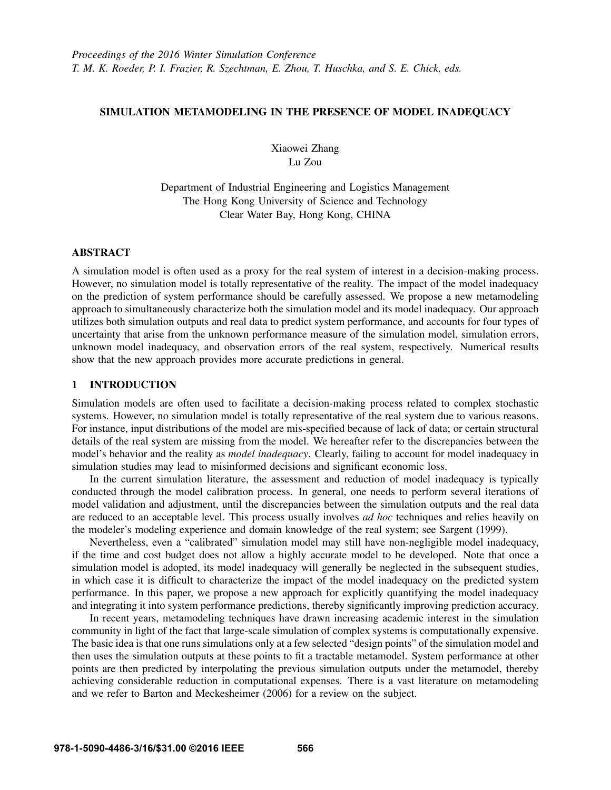# SIMULATION METAMODELING IN THE PRESENCE OF MODEL INADEQUACY

Xiaowei Zhang Lu Zou

Department of Industrial Engineering and Logistics Management The Hong Kong University of Science and Technology Clear Water Bay, Hong Kong, CHINA

# ABSTRACT

A simulation model is often used as a proxy for the real system of interest in a decision-making process. However, no simulation model is totally representative of the reality. The impact of the model inadequacy on the prediction of system performance should be carefully assessed. We propose a new metamodeling approach to simultaneously characterize both the simulation model and its model inadequacy. Our approach utilizes both simulation outputs and real data to predict system performance, and accounts for four types of uncertainty that arise from the unknown performance measure of the simulation model, simulation errors, unknown model inadequacy, and observation errors of the real system, respectively. Numerical results show that the new approach provides more accurate predictions in general.

# 1 INTRODUCTION

Simulation models are often used to facilitate a decision-making process related to complex stochastic systems. However, no simulation model is totally representative of the real system due to various reasons. For instance, input distributions of the model are mis-specified because of lack of data; or certain structural details of the real system are missing from the model. We hereafter refer to the discrepancies between the model's behavior and the reality as *model inadequacy*. Clearly, failing to account for model inadequacy in simulation studies may lead to misinformed decisions and significant economic loss.

In the current simulation literature, the assessment and reduction of model inadequacy is typically conducted through the model calibration process. In general, one needs to perform several iterations of model validation and adjustment, until the discrepancies between the simulation outputs and the real data are reduced to an acceptable level. This process usually involves *ad hoc* techniques and relies heavily on the modeler's modeling experience and domain knowledge of the real system; see Sargent (1999).

Nevertheless, even a "calibrated" simulation model may still have non-negligible model inadequacy, if the time and cost budget does not allow a highly accurate model to be developed. Note that once a simulation model is adopted, its model inadequacy will generally be neglected in the subsequent studies, in which case it is difficult to characterize the impact of the model inadequacy on the predicted system performance. In this paper, we propose a new approach for explicitly quantifying the model inadequacy and integrating it into system performance predictions, thereby significantly improving prediction accuracy.

In recent years, metamodeling techniques have drawn increasing academic interest in the simulation community in light of the fact that large-scale simulation of complex systems is computationally expensive. The basic idea is that one runs simulations only at a few selected "design points" of the simulation model and then uses the simulation outputs at these points to fit a tractable metamodel. System performance at other points are then predicted by interpolating the previous simulation outputs under the metamodel, thereby achieving considerable reduction in computational expenses. There is a vast literature on metamodeling and we refer to Barton and Meckesheimer (2006) for a review on the subject.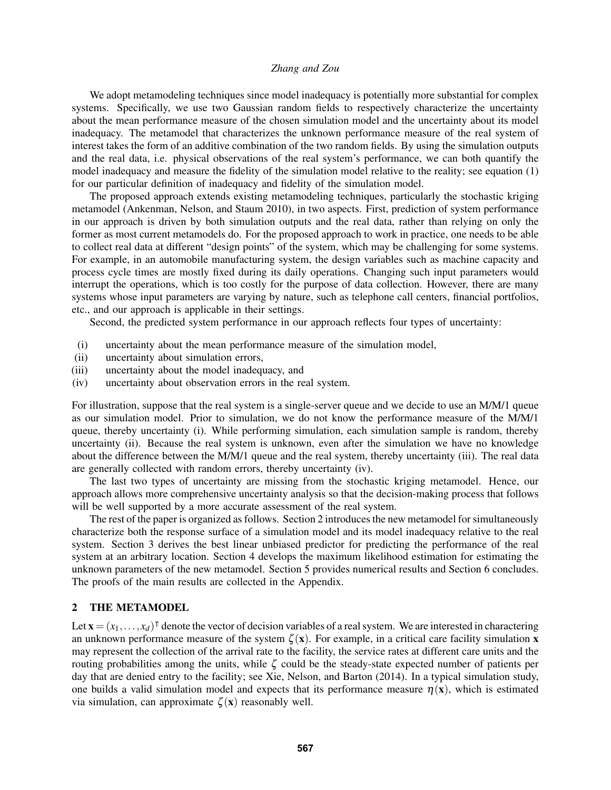We adopt metamodeling techniques since model inadequacy is potentially more substantial for complex systems. Specifically, we use two Gaussian random fields to respectively characterize the uncertainty about the mean performance measure of the chosen simulation model and the uncertainty about its model inadequacy. The metamodel that characterizes the unknown performance measure of the real system of interest takes the form of an additive combination of the two random fields. By using the simulation outputs and the real data, i.e. physical observations of the real system's performance, we can both quantify the model inadequacy and measure the fidelity of the simulation model relative to the reality; see equation (1) for our particular definition of inadequacy and fidelity of the simulation model.

The proposed approach extends existing metamodeling techniques, particularly the stochastic kriging metamodel (Ankenman, Nelson, and Staum 2010), in two aspects. First, prediction of system performance in our approach is driven by both simulation outputs and the real data, rather than relying on only the former as most current metamodels do. For the proposed approach to work in practice, one needs to be able to collect real data at different "design points" of the system, which may be challenging for some systems. For example, in an automobile manufacturing system, the design variables such as machine capacity and process cycle times are mostly fixed during its daily operations. Changing such input parameters would interrupt the operations, which is too costly for the purpose of data collection. However, there are many systems whose input parameters are varying by nature, such as telephone call centers, financial portfolios, etc., and our approach is applicable in their settings.

Second, the predicted system performance in our approach reflects four types of uncertainty:

- (i) uncertainty about the mean performance measure of the simulation model,
- (ii) uncertainty about simulation errors,
- (iii) uncertainty about the model inadequacy, and
- (iv) uncertainty about observation errors in the real system.

For illustration, suppose that the real system is a single-server queue and we decide to use an M/M/1 queue as our simulation model. Prior to simulation, we do not know the performance measure of the M/M/1 queue, thereby uncertainty (i). While performing simulation, each simulation sample is random, thereby uncertainty (ii). Because the real system is unknown, even after the simulation we have no knowledge about the difference between the M/M/1 queue and the real system, thereby uncertainty (iii). The real data are generally collected with random errors, thereby uncertainty (iv).

The last two types of uncertainty are missing from the stochastic kriging metamodel. Hence, our approach allows more comprehensive uncertainty analysis so that the decision-making process that follows will be well supported by a more accurate assessment of the real system.

The rest of the paper is organized as follows. Section 2 introduces the new metamodel for simultaneously characterize both the response surface of a simulation model and its model inadequacy relative to the real system. Section 3 derives the best linear unbiased predictor for predicting the performance of the real system at an arbitrary location. Section 4 develops the maximum likelihood estimation for estimating the unknown parameters of the new metamodel. Section 5 provides numerical results and Section 6 concludes. The proofs of the main results are collected in the Appendix.

# 2 THE METAMODEL

Let  $\mathbf{x} = (x_1, \ldots, x_d)^\mathsf{T}$  denote the vector of decision variables of a real system. We are interested in charactering an unknown performance measure of the system  $\zeta(\mathbf{x})$ . For example, in a critical care facility simulation **x** may represent the collection of the arrival rate to the facility, the service rates at different care units and the routing probabilities among the units, while  $\zeta$  could be the steady-state expected number of patients per day that are denied entry to the facility; see Xie, Nelson, and Barton (2014). In a typical simulation study, one builds a valid simulation model and expects that its performance measure  $\eta(x)$ , which is estimated via simulation, can approximate  $\zeta(\mathbf{x})$  reasonably well.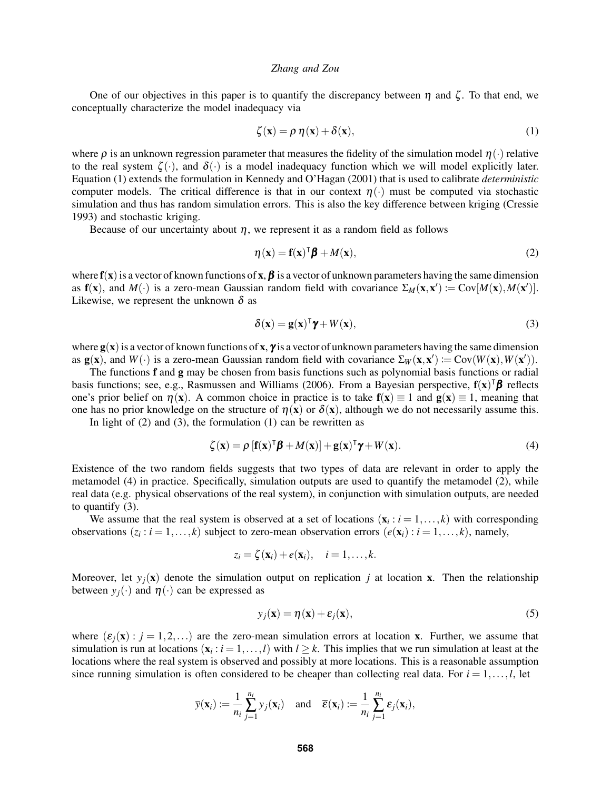One of our objectives in this paper is to quantify the discrepancy between  $\eta$  and  $\zeta$ . To that end, we conceptually characterize the model inadequacy via

$$
\zeta(\mathbf{x}) = \rho \, \eta(\mathbf{x}) + \delta(\mathbf{x}),\tag{1}
$$

where  $\rho$  is an unknown regression parameter that measures the fidelity of the simulation model  $\eta(\cdot)$  relative to the real system  $\zeta(\cdot)$ , and  $\delta(\cdot)$  is a model inadequacy function which we will model explicitly later. Equation (1) extends the formulation in Kennedy and O'Hagan (2001) that is used to calibrate *deterministic* computer models. The critical difference is that in our context  $\eta(\cdot)$  must be computed via stochastic simulation and thus has random simulation errors. This is also the key difference between kriging (Cressie 1993) and stochastic kriging.

Because of our uncertainty about  $\eta$ , we represent it as a random field as follows

$$
\eta(\mathbf{x}) = \mathbf{f}(\mathbf{x})^{\mathsf{T}} \boldsymbol{\beta} + M(\mathbf{x}),\tag{2}
$$

where  $f(x)$  is a vector of known functions of x,  $\beta$  is a vector of unknown parameters having the same dimension as  $f(x)$ , and  $M(\cdot)$  is a zero-mean Gaussian random field with covariance  $\Sigma_M(x,x') := \text{Cov}[M(x), M(x')]$ . Likewise, we represent the unknown  $\delta$  as

$$
\delta(\mathbf{x}) = \mathbf{g}(\mathbf{x})^{\mathsf{T}} \boldsymbol{\gamma} + W(\mathbf{x}),\tag{3}
$$

where  $g(x)$  is a vector of known functions of x,  $\gamma$  is a vector of unknown parameters having the same dimension as  $g(x)$ , and  $W(\cdot)$  is a zero-mean Gaussian random field with covariance  $\Sigma_W(x,x') := Cov(W(x), W(x'))$ .

The functions f and g may be chosen from basis functions such as polynomial basis functions or radial basis functions; see, e.g., Rasmussen and Williams (2006). From a Bayesian perspective,  $f(x)^\dagger \beta$  reflects one's prior belief on  $\eta(x)$ . A common choice in practice is to take  $f(x) \equiv 1$  and  $g(x) \equiv 1$ , meaning that one has no prior knowledge on the structure of  $\eta(x)$  or  $\delta(x)$ , although we do not necessarily assume this.

In light of  $(2)$  and  $(3)$ , the formulation  $(1)$  can be rewritten as

$$
\zeta(\mathbf{x}) = \rho \left[ \mathbf{f}(\mathbf{x})^{\mathsf{T}} \boldsymbol{\beta} + M(\mathbf{x}) \right] + \mathbf{g}(\mathbf{x})^{\mathsf{T}} \boldsymbol{\gamma} + W(\mathbf{x}). \tag{4}
$$

Existence of the two random fields suggests that two types of data are relevant in order to apply the metamodel (4) in practice. Specifically, simulation outputs are used to quantify the metamodel (2), while real data (e.g. physical observations of the real system), in conjunction with simulation outputs, are needed to quantify (3).

We assume that the real system is observed at a set of locations  $(\mathbf{x}_i : i = 1, \dots, k)$  with corresponding observations  $(z_i : i = 1, ..., k)$  subject to zero-mean observation errors  $(e(\mathbf{x}_i) : i = 1, ..., k)$ , namely,

$$
z_i = \zeta(\mathbf{x}_i) + e(\mathbf{x}_i), \quad i = 1, \dots, k.
$$

Moreover, let  $y_i(x)$  denote the simulation output on replication *j* at location x. Then the relationship between  $y_i(\cdot)$  and  $\eta(\cdot)$  can be expressed as

$$
y_j(\mathbf{x}) = \eta(\mathbf{x}) + \varepsilon_j(\mathbf{x}),\tag{5}
$$

where  $(\varepsilon_i(\mathbf{x}) : j = 1, 2, \ldots)$  are the zero-mean simulation errors at location x. Further, we assume that simulation is run at locations  $(\mathbf{x}_i : i = 1, ..., l)$  with  $l \geq k$ . This implies that we run simulation at least at the locations where the real system is observed and possibly at more locations. This is a reasonable assumption since running simulation is often considered to be cheaper than collecting real data. For  $i = 1, \ldots, l$ , let

$$
\overline{y}(\mathbf{x}_i) := \frac{1}{n_i} \sum_{j=1}^{n_i} y_j(\mathbf{x}_i)
$$
 and  $\overline{\epsilon}(\mathbf{x}_i) := \frac{1}{n_i} \sum_{j=1}^{n_i} \epsilon_j(\mathbf{x}_i)$ ,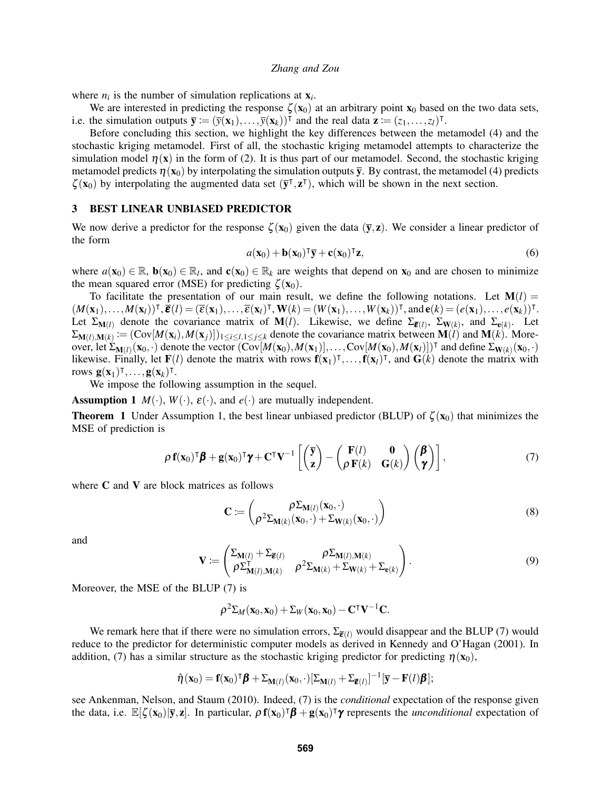where  $n_i$  is the number of simulation replications at  $\mathbf{x}_i$ .

We are interested in predicting the response  $\zeta(x_0)$  at an arbitrary point  $x_0$  based on the two data sets, i.e. the simulation outputs  $\overline{\mathbf{y}} := (\overline{y}(\mathbf{x}_1), ..., \overline{y}(\mathbf{x}_k))^T$  and the real data  $\mathbf{z} := (z_1, ..., z_l)^T$ .

Before concluding this section, we highlight the key differences between the metamodel (4) and the stochastic kriging metamodel. First of all, the stochastic kriging metamodel attempts to characterize the simulation model  $\eta(x)$  in the form of (2). It is thus part of our metamodel. Second, the stochastic kriging metamodel predicts  $\eta(\mathbf{x}_0)$  by interpolating the simulation outputs  $\bar{v}$ . By contrast, the metamodel (4) predicts  $\zeta(\mathbf{x}_0)$  by interpolating the augmented data set  $(\bar{\mathbf{y}}^\text{T}, \mathbf{z}^\text{T})$ , which will be shown in the next section.

# 3 BEST LINEAR UNBIASED PREDICTOR

We now derive a predictor for the response  $\zeta(\mathbf{x}_0)$  given the data  $(\bar{\mathbf{y}}, \mathbf{z})$ . We consider a linear predictor of the form

$$
a(\mathbf{x}_0) + \mathbf{b}(\mathbf{x}_0)^\mathsf{T} \overline{\mathbf{y}} + \mathbf{c}(\mathbf{x}_0)^\mathsf{T} \mathbf{z},\tag{6}
$$

where  $a(\mathbf{x}_0) \in \mathbb{R}$ ,  $\mathbf{b}(\mathbf{x}_0) \in \mathbb{R}_l$ , and  $\mathbf{c}(\mathbf{x}_0) \in \mathbb{R}_k$  are weights that depend on  $\mathbf{x}_0$  and are chosen to minimize the mean squared error (MSE) for predicting  $\zeta(\mathbf{x}_0)$ .

To facilitate the presentation of our main result, we define the following notations. Let  $M(l)$  =  $(M(\mathbf{x}_1),\ldots,M(\mathbf{x}_l))^{\mathsf{T}},\overline{\mathbf{\varepsilon}}(l)=(\overline{\varepsilon}(\mathbf{x}_1),\ldots,\overline{\varepsilon}(\mathbf{x}_l)^{\mathsf{T}},\mathbf{W}(k)=(W(\mathbf{x}_1),\ldots,W(\mathbf{x}_k))^{\mathsf{T}},\text{and}\,\mathbf{\varepsilon}(k)=(e(\mathbf{x}_1),\ldots,e(\mathbf{x}_k))^{\mathsf{T}}.$ Let  $\Sigma_{\mathbf{M}(l)}$  denote the covariance matrix of  $\mathbf{M}(l)$ . Likewise, we define  $\Sigma_{\bar{\boldsymbol{\varepsilon}}(l)}$ ,  $\Sigma_{\mathbf{W}(k)}$ , and  $\Sigma_{\mathbf{e}(k)}$ . Let  $\Sigma_{\mathbf{M}(l),\mathbf{M}(k)} := (\text{Cov}[M(\mathbf{x}_i), M(\mathbf{x}_j)])_{1 \leq i \leq l, 1 \leq j \leq k}$  denote the covariance matrix between  $\mathbf{M}(l)$  and  $\mathbf{M}(k)$ . Moreover, let  $\Sigma_{\mathbf{M}(l)}(\mathbf{x}_0, \cdot)$  denote the vector  $(\text{Cov}[M(\mathbf{x}_0), M(\mathbf{x}_1)], \dots, \text{Cov}[M(\mathbf{x}_0), M(\mathbf{x}_l)])^{\top}$  and define  $\Sigma_{\mathbf{W}(k)}(\mathbf{x}_0, \cdot)$ likewise. Finally, let  $F(l)$  denote the matrix with rows  $f(x_1)^\intercal, \dots, f(x_l)^\intercal$ , and  $G(k)$  denote the matrix with rows  $\mathbf{g}(\mathbf{x}_1)^\intercal, \ldots, \mathbf{g}(\mathbf{x}_k)^\intercal$ .

We impose the following assumption in the sequel.

**Assumption 1**  $M(\cdot)$ ,  $W(\cdot)$ ,  $\varepsilon(\cdot)$ , and  $e(\cdot)$  are mutually independent.

**Theorem 1** Under Assumption 1, the best linear unbiased predictor (BLUP) of  $\zeta(\mathbf{x}_0)$  that minimizes the MSE of prediction is

$$
\rho \mathbf{f}(\mathbf{x}_0)^{\mathsf{T}} \boldsymbol{\beta} + \mathbf{g}(\mathbf{x}_0)^{\mathsf{T}} \boldsymbol{\gamma} + \mathbf{C}^{\mathsf{T}} \mathbf{V}^{-1} \left[ \begin{pmatrix} \overline{\mathbf{y}} \\ \mathbf{z} \end{pmatrix} - \begin{pmatrix} \mathbf{F}(l) & \mathbf{0} \\ \rho \mathbf{F}(k) & \mathbf{G}(k) \end{pmatrix} \begin{pmatrix} \boldsymbol{\beta} \\ \boldsymbol{\gamma} \end{pmatrix} \right],\tag{7}
$$

where C and V are block matrices as follows

$$
\mathbf{C} := \begin{pmatrix} \rho \Sigma_{\mathbf{M}(l)}(\mathbf{x}_0, \cdot) \\ \rho^2 \Sigma_{\mathbf{M}(k)}(\mathbf{x}_0, \cdot) + \Sigma_{\mathbf{W}(k)}(\mathbf{x}_0, \cdot) \end{pmatrix}
$$
(8)

and

$$
\mathbf{V} := \begin{pmatrix} \Sigma_{\mathbf{M}(l)} + \Sigma_{\overline{\mathbf{\varepsilon}}(l)} & \rho \Sigma_{\mathbf{M}(l), \mathbf{M}(k)} \\ \rho \Sigma_{\mathbf{M}(l), \mathbf{M}(k)}^{\mathsf{T}} & \rho^2 \Sigma_{\mathbf{M}(k)} + \Sigma_{\mathbf{W}(k)} + \Sigma_{\mathbf{e}(k)} \end{pmatrix}.
$$
 (9)

Moreover, the MSE of the BLUP (7) is

$$
\rho^2 \Sigma_M(\mathbf{x}_0, \mathbf{x}_0) + \Sigma_W(\mathbf{x}_0, \mathbf{x}_0) - \mathbf{C}^\intercal \mathbf{V}^{-1} \mathbf{C}.
$$

We remark here that if there were no simulation errors,  $\Sigma_{\bar{E}(l)}$  would disappear and the BLUP (7) would reduce to the predictor for deterministic computer models as derived in Kennedy and O'Hagan (2001). In addition, (7) has a similar structure as the stochastic kriging predictor for predicting  $\eta(\mathbf{x}_0)$ ,

$$
\hat{\boldsymbol{\eta}}(\mathbf{x}_0) = \mathbf{f}(\mathbf{x}_0)^{\mathsf{T}} \boldsymbol{\beta} + \boldsymbol{\Sigma}_{\mathbf{M}(l)}(\mathbf{x}_0, \cdot) [\boldsymbol{\Sigma}_{\mathbf{M}(l)} + \boldsymbol{\Sigma}_{\overline{\boldsymbol{\epsilon}}(l)}]^{-1} [\overline{\mathbf{y}} - \mathbf{F}(l) \boldsymbol{\beta}];
$$

see Ankenman, Nelson, and Staum (2010). Indeed, (7) is the *conditional* expectation of the response given the data, i.e.  $\mathbb{E}[\zeta(\mathbf{x}_0)|\overline{\mathbf{y}}, \mathbf{z}]$ . In particular,  $\rho \mathbf{f}(\mathbf{x}_0)^\intercal \boldsymbol{\beta} + \mathbf{g}(\mathbf{x}_0)^\intercal \boldsymbol{\gamma}$  represents the *unconditional* expectation of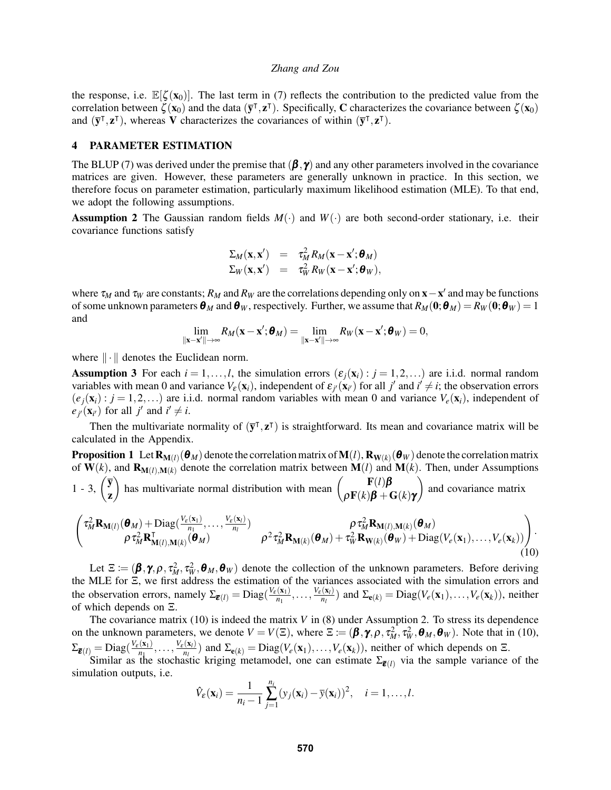the response, i.e.  $\mathbb{E}[\zeta(\mathbf{x}_0)]$ . The last term in (7) reflects the contribution to the predicted value from the correlation between  $\zeta(\mathbf{x}_0)$  and the data  $(\bar{\mathbf{y}}^\text{T}, \mathbf{z}^\text{T})$ . Specifically, C characterizes the covariance between  $\zeta(\mathbf{x}_0)$ and  $(\bar{y}^{\dagger}, z^{\dagger})$ , whereas **V** characterizes the covariances of within  $(\bar{y}^{\dagger}, z^{\dagger})$ .

# 4 PARAMETER ESTIMATION

The BLUP (7) was derived under the premise that  $(\beta, \gamma)$  and any other parameters involved in the covariance matrices are given. However, these parameters are generally unknown in practice. In this section, we therefore focus on parameter estimation, particularly maximum likelihood estimation (MLE). To that end, we adopt the following assumptions.

**Assumption 2** The Gaussian random fields  $M(\cdot)$  and  $W(\cdot)$  are both second-order stationary, i.e. their covariance functions satisfy

$$
\Sigma_M(\mathbf{x}, \mathbf{x}') = \tau_M^2 R_M(\mathbf{x} - \mathbf{x}'; \boldsymbol{\theta}_M)
$$
  

$$
\Sigma_W(\mathbf{x}, \mathbf{x}') = \tau_W^2 R_W(\mathbf{x} - \mathbf{x}'; \boldsymbol{\theta}_W),
$$

where  $\tau_M$  and  $\tau_W$  are constants;  $R_M$  and  $R_W$  are the correlations depending only on  $x - x'$  and may be functions of some unknown parameters  $\theta_M$  and  $\theta_W$ , respectively. Further, we assume that  $R_M(0;\theta_M) = R_W(0;\theta_W) = 1$ and

$$
\lim_{\|\mathbf{x}-\mathbf{x}'\|\rightarrow\infty}R_M(\mathbf{x}-\mathbf{x}';\pmb{\theta}_M)=\lim_{\|\mathbf{x}-\mathbf{x}'\|\rightarrow\infty}R_W(\mathbf{x}-\mathbf{x}';\pmb{\theta}_W)=0,
$$

where  $\|\cdot\|$  denotes the Euclidean norm.

**Assumption 3** For each  $i = 1, \ldots, l$ , the simulation errors  $(\varepsilon_i(\mathbf{x}_i) : j = 1, 2, \ldots)$  are i.i.d. normal random variables with mean 0 and variance  $V_{\varepsilon}(\mathbf{x}_i)$ , independent of  $\varepsilon_{j'}(\mathbf{x}_{i'})$  for all  $j'$  and  $i' \neq i$ ; the observation errors  $(e_i(\mathbf{x}_i): j = 1, 2, \ldots)$  are i.i.d. normal random variables with mean 0 and variance  $V_e(\mathbf{x}_i)$ , independent of  $e_j(\mathbf{x}_{i'})$  for all *j*' and  $i' \neq i$ .

Then the multivariate normality of  $(\bar{y}^T, z^T)$  is straightforward. Its mean and covariance matrix will be calculated in the Appendix.

**Proposition 1** Let 
$$
\mathbf{R}_{\mathbf{M}(l)}(\boldsymbol{\theta}_M)
$$
 denote the correlation matrix of  $\mathbf{M}(l)$ ,  $\mathbf{R}_{\mathbf{W}(k)}(\boldsymbol{\theta}_W)$  denote the correlation matrix of  $\mathbf{W}(k)$ , and  $\mathbf{R}_{\mathbf{M}(l),\mathbf{M}(k)}$  denote the correlation matrix between  $\mathbf{M}(l)$  and  $\mathbf{M}(k)$ . Then, under Assumptions 1 - 3,  $\begin{pmatrix} \overline{\mathbf{y}} \\ \mathbf{z} \end{pmatrix}$  has multivariate normal distribution with mean  $\begin{pmatrix} \mathbf{F}(l)\boldsymbol{\beta} \\ \rho \mathbf{F}(k)\boldsymbol{\beta} + \mathbf{G}(k)\boldsymbol{\gamma} \end{pmatrix}$  and covariance matrix

$$
\begin{pmatrix}\n\tau_M^2 \mathbf{R}_{\mathbf{M}(l)}(\boldsymbol{\theta}_M) + \text{Diag}(\frac{V_{\varepsilon}(\mathbf{x}_1)}{n_1}, \dots, \frac{V_{\varepsilon}(\mathbf{x}_l)}{n_l}) & \rho \tau_M^2 \mathbf{R}_{\mathbf{M}(l), \mathbf{M}(k)}(\boldsymbol{\theta}_M) \\
\rho \tau_M^2 \mathbf{R}_{\mathbf{M}(l), \mathbf{M}(k)}^{\mathsf{T}}(\boldsymbol{\theta}_M) & \rho^2 \tau_M^2 \mathbf{R}_{\mathbf{M}(k)}(\boldsymbol{\theta}_M) + \tau_W^2 \mathbf{R}_{\mathbf{W}(k)}(\boldsymbol{\theta}_W) + \text{Diag}(V_e(\mathbf{x}_1), \dots, V_e(\mathbf{x}_k))\n\end{pmatrix}.
$$
\n(10)

Let  $\Xi := (\beta, \gamma, \rho, \tau_M^2, \tau_W^2, \theta_M, \theta_W)$  denote the collection of the unknown parameters. Before deriving the MLE for Ξ, we first address the estimation of the variances associated with the simulation errors and the observation errors, namely  $\Sigma_{\bar{\boldsymbol{\varepsilon}}(l)} = \text{Diag}(\frac{V_{\varepsilon}(\mathbf{x}_1)}{n_1})$  $\frac{N_{\varepsilon}(\mathbf{x}_l)}{n_1},\ldots,\frac{V_{\varepsilon}(\mathbf{x}_l)}{n_l}$  $\sum_{n_l}$  and  $\Sigma_{\mathbf{e}(k)} = \text{Diag}(V_e(\mathbf{x}_1), \dots, V_e(\mathbf{x}_k))$ , neither of which depends on Ξ.

The covariance matrix (10) is indeed the matrix *V* in (8) under Assumption 2. To stress its dependence on the unknown parameters, we denote  $V = V(\Xi)$ , where  $\Xi := (\beta, \gamma, \rho, \tau_M^2, \tau_W^2, \theta_M, \theta_W)$ . Note that in (10),  $\Sigma_{\overline{\boldsymbol{\varepsilon}}(l)} = \mathrm{Diag}(\frac{V_{\varepsilon}(\mathbf{x}_1)}{n_1})$  $\frac{(\mathbf{x}_1)}{n_1},\ldots,\frac{V_{\varepsilon}(\mathbf{x}_l)}{n_l}$  $\sum_{n_l}$  and  $\Sigma_{e(k)} = \text{Diag}(V_e(\mathbf{x}_1),...,V_e(\mathbf{x}_k))$ , neither of which depends on Ξ.

Similar as the stochastic kriging metamodel, one can estimate  $\Sigma_{\bar{\epsilon}(l)}$  via the sample variance of the simulation outputs, i.e.

$$
\hat{V}_{\varepsilon}(\mathbf{x}_i) = \frac{1}{n_i-1} \sum_{j=1}^{n_i} (y_j(\mathbf{x}_i) - \overline{y}(\mathbf{x}_i))^2, \quad i = 1, \ldots, l.
$$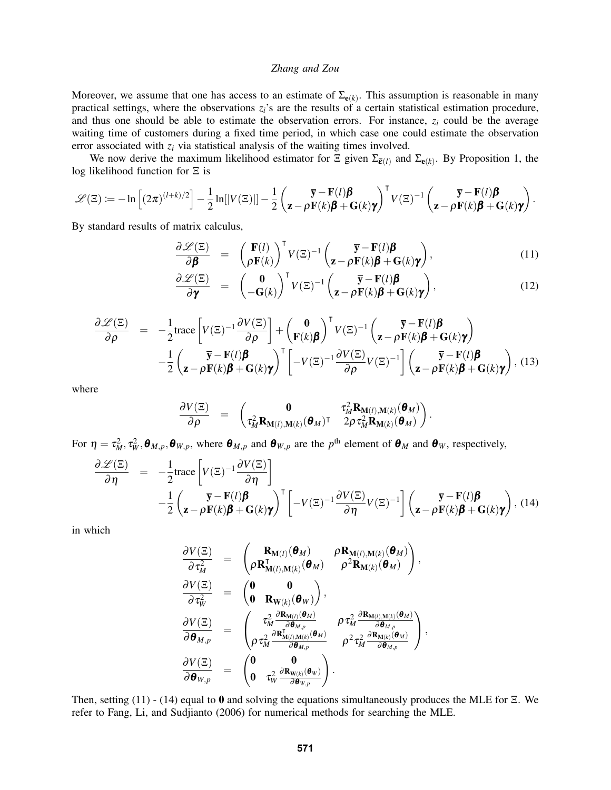Moreover, we assume that one has access to an estimate of  $\Sigma_{e(k)}$ . This assumption is reasonable in many practical settings, where the observations  $z_i$ 's are the results of a certain statistical estimation procedure, and thus one should be able to estimate the observation errors. For instance,  $z_i$  could be the average waiting time of customers during a fixed time period, in which case one could estimate the observation error associated with *z<sup>i</sup>* via statistical analysis of the waiting times involved.

We now derive the maximum likelihood estimator for  $\Xi$  given  $\Sigma_{\bar{\epsilon}(l)}$  and  $\Sigma_{\epsilon(k)}$ . By Proposition 1, the log likelihood function for Ξ is

$$
\mathscr{L}(\Xi):=-\ln\left[(2\pi)^{(l+k)/2}\right]-\frac{1}{2}\ln[|V(\Xi)|]-\frac{1}{2}\left(\frac{\overline{\mathbf{y}}-\mathbf{F}(l)\pmb{\beta}}{\mathbf{z}-\pmb{\rho}}\mathbf{F}(k)\pmb{\beta}+\mathbf{G}(k)\pmb{\gamma}\right)^{\mathsf{T}}V(\Xi)^{-1}\left(\frac{\overline{\mathbf{y}}-\mathbf{F}(l)\pmb{\beta}}{\mathbf{z}-\pmb{\rho}}\mathbf{F}(k)\pmb{\beta}+\mathbf{G}(k)\pmb{\gamma}\right).
$$

By standard results of matrix calculus,

$$
\frac{\partial \mathcal{L}(\Xi)}{\partial \boldsymbol{\beta}} = \begin{pmatrix} \mathbf{F}(l) \\ \rho \mathbf{F}(k) \end{pmatrix}^{\mathsf{T}} V(\Xi)^{-1} \begin{pmatrix} \overline{\mathbf{y}} - \mathbf{F}(l) \boldsymbol{\beta} \\ \mathbf{z} - \rho \mathbf{F}(k) \boldsymbol{\beta} + \mathbf{G}(k) \boldsymbol{\gamma} \end{pmatrix}, \tag{11}
$$

$$
\frac{\partial \mathscr{L}(\Xi)}{\partial \gamma} = \begin{pmatrix} \mathbf{0} \\ -\mathbf{G}(k) \end{pmatrix}^\mathsf{T} V(\Xi)^{-1} \begin{pmatrix} \overline{\mathbf{y}} - \mathbf{F}(l) \boldsymbol{\beta} \\ \mathbf{z} - \rho \mathbf{F}(k) \boldsymbol{\beta} + \mathbf{G}(k) \boldsymbol{\gamma} \end{pmatrix}, \tag{12}
$$

$$
\frac{\partial \mathscr{L}(\Xi)}{\partial \rho} = -\frac{1}{2} \text{trace}\left[V(\Xi)^{-1} \frac{\partial V(\Xi)}{\partial \rho}\right] + \begin{pmatrix} \mathbf{0} \\ \mathbf{F}(k)\mathbf{\beta} \end{pmatrix}^{\mathsf{T}} V(\Xi)^{-1} \begin{pmatrix} \overline{\mathbf{y}} - \mathbf{F}(l)\mathbf{\beta} \\ \mathbf{z} - \rho \mathbf{F}(k)\mathbf{\beta} + \mathbf{G}(k)\mathbf{\gamma} \end{pmatrix} - \frac{1}{2} \begin{pmatrix} \overline{\mathbf{y}} - \mathbf{F}(l)\mathbf{\beta} \\ \mathbf{z} - \rho \mathbf{F}(k)\mathbf{\beta} + \mathbf{G}(k)\mathbf{\gamma} \end{pmatrix}^{\mathsf{T}} \begin{bmatrix} -V(\Xi)^{-1} \frac{\partial V(\Xi)}{\partial \rho} V(\Xi)^{-1} \end{bmatrix} \begin{pmatrix} \overline{\mathbf{y}} - \mathbf{F}(l)\mathbf{\beta} \\ \mathbf{z} - \rho \mathbf{F}(k)\mathbf{\beta} + \mathbf{G}(k)\mathbf{\gamma} \end{pmatrix}, (13)
$$

where

$$
\frac{\partial V(\Xi)}{\partial \rho} \quad = \quad \begin{pmatrix} \mathbf{0} & \tau_M^2 \mathbf{R}_{\mathbf{M}(l),\mathbf{M}(k)}(\boldsymbol{\theta}_M) \\ \tau_M^2 \mathbf{R}_{\mathbf{M}(l),\mathbf{M}(k)}(\boldsymbol{\theta}_M)^\intercal & 2 \rho \, \tau_M^2 \mathbf{R}_{\mathbf{M}(k)}(\boldsymbol{\theta}_M) \end{pmatrix}.
$$

For  $\eta = \tau_M^2$ ,  $\tau_W^2$ ,  $\theta_{M,p}$ ,  $\theta_{W,p}$ , where  $\theta_{M,p}$  and  $\theta_{W,p}$  are the  $p^{\text{th}}$  element of  $\theta_M$  and  $\theta_W$ , respectively,

$$
\frac{\partial \mathcal{L}(\Xi)}{\partial \eta} = -\frac{1}{2} \text{trace}\left[V(\Xi)^{-1} \frac{\partial V(\Xi)}{\partial \eta}\right] \n- \frac{1}{2} \left(\frac{\overline{\mathbf{y}} - \mathbf{F}(l)\boldsymbol{\beta}}{\mathbf{z} - \rho \mathbf{F}(k)\boldsymbol{\beta} + \mathbf{G}(k)\boldsymbol{\gamma}}\right)^{\mathsf{T}} \left[-V(\Xi)^{-1} \frac{\partial V(\Xi)}{\partial \eta} V(\Xi)^{-1}\right] \left(\frac{\overline{\mathbf{y}} - \mathbf{F}(l)\boldsymbol{\beta}}{\mathbf{z} - \rho \mathbf{F}(k)\boldsymbol{\beta} + \mathbf{G}(k)\boldsymbol{\gamma}}\right), (14)
$$

in which

$$
\begin{array}{rcl} \frac{\partial V(\Xi)}{\partial \, \tau_M^2} & = & \left( \frac{\mathbf{R}_{\mathbf{M}(l)}(\boldsymbol{\theta}_M)}{\rho \, \mathbf{R}_{\mathbf{M}(l),\mathbf{M}(k)}^{\mathsf{T}}(\boldsymbol{\theta}_M)} \frac{\rho \mathbf{R}_{\mathbf{M}(l),\mathbf{M}(k)}(\boldsymbol{\theta}_M)}{\rho^2 \mathbf{R}_{\mathbf{M}(k)}(\boldsymbol{\theta}_M)} \right), \\ \frac{\partial V(\Xi)}{\partial \, \tau_W^2} & = & \left( \begin{matrix} \mathbf{0} & \mathbf{0} \\ \mathbf{0} & \mathbf{R}_{\mathbf{W}(k)}(\boldsymbol{\theta}_W) \end{matrix} \right), \\ \frac{\partial V(\Xi)}{\partial \boldsymbol{\theta}_{M,p}} & = & \left( \begin{matrix} \tau_M^2 \frac{\partial \mathbf{R}_{\mathbf{M}(l)}(\boldsymbol{\theta}_M)}{\partial \boldsymbol{\theta}_{M,p}} & \rho \tau_M^2 \frac{\partial \mathbf{R}_{\mathbf{M}(l),\mathbf{M}(k)}(\boldsymbol{\theta}_M)}{\partial \boldsymbol{\theta}_{M,p}} \\ \rho \tau_M^2 \frac{\partial \mathbf{R}_{\mathbf{M}(l),\mathbf{M}(k)}^{\mathsf{T}}(\boldsymbol{\theta}_M)}{\partial \boldsymbol{\theta}_{M,p}} & \rho^2 \tau_M^2 \frac{\partial \mathbf{R}_{\mathbf{M}(k)}(\boldsymbol{\theta}_M)}{\partial \boldsymbol{\theta}_{M,p}} \end{matrix} \right), \\ \frac{\partial V(\Xi)}{\partial \boldsymbol{\theta}_{W,p}} & = & \left( \begin{matrix} \mathbf{0} & \mathbf{0} \\ \mathbf{0} & \tau_W^2 \frac{\partial \mathbf{R}_{\mathbf{W}(k)}(\boldsymbol{\theta}_W)}{\partial \boldsymbol{\theta}_{W,p}} \end{matrix} \right). \end{array}
$$

Then, setting (11) - (14) equal to 0 and solving the equations simultaneously produces the MLE for Ξ. We refer to Fang, Li, and Sudjianto (2006) for numerical methods for searching the MLE.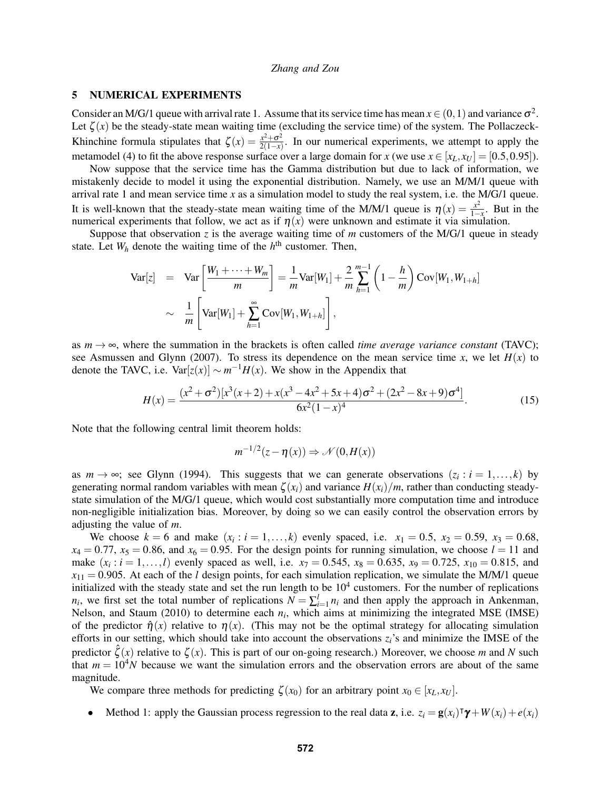# 5 NUMERICAL EXPERIMENTS

Consider an M/G/1 queue with arrival rate 1. Assume that its service time has mean  $x \in (0,1)$  and variance  $\sigma^2$ . Let  $\zeta(x)$  be the steady-state mean waiting time (excluding the service time) of the system. The Pollaczeck-Khinchine formula stipulates that  $\zeta(x) = \frac{x^2 + \sigma^2}{2(1-x)}$  $\frac{x+\sigma^2}{2(1-x)}$ . In our numerical experiments, we attempt to apply the metamodel (4) to fit the above response surface over a large domain for *x* (we use  $x \in [x_L, x_U] = [0.5, 0.95]$ ).

Now suppose that the service time has the Gamma distribution but due to lack of information, we mistakenly decide to model it using the exponential distribution. Namely, we use an M/M/1 queue with arrival rate 1 and mean service time *x* as a simulation model to study the real system, i.e. the M/G/1 queue. It is well-known that the steady-state mean waiting time of the M/M/1 queue is  $\eta(x) = \frac{x^2}{1-x}$ . But in the 1 $\frac{1}{1-x}$  is wen-known that the steady-state from waiting time of the *NHWF* quede is  $\eta(x) = \frac{1}{1-x}$ . But numerical experiments that follow, we act as if  $\eta(x)$  were unknown and estimate it via simulation.

Suppose that observation *z* is the average waiting time of *m* customers of the M/G/1 queue in steady state. Let  $W_h$  denote the waiting time of the  $h<sup>th</sup>$  customer. Then,

$$
\begin{array}{rcl} \n\text{Var}[z] & = & \text{Var}\left[\frac{W_1 + \dots + W_m}{m}\right] = \frac{1}{m} \text{Var}[W_1] + \frac{2}{m} \sum_{h=1}^{m-1} \left(1 - \frac{h}{m}\right) \text{Cov}[W_1, W_{1+h}] \\ \n& & \sim & \frac{1}{m} \left[ \text{Var}[W_1] + \sum_{h=1}^{\infty} \text{Cov}[W_1, W_{1+h}] \right], \n\end{array}
$$

as  $m \to \infty$ , where the summation in the brackets is often called *time average variance constant* (TAVC); see Asmussen and Glynn (2007). To stress its dependence on the mean service time *x*, we let  $H(x)$  to denote the TAVC, i.e.  $Var[z(x)] \sim m^{-1}H(x)$ . We show in the Appendix that

$$
H(x) = \frac{(x^2 + \sigma^2)[x^3(x+2) + x(x^3 - 4x^2 + 5x + 4)\sigma^2 + (2x^2 - 8x + 9)\sigma^4]}{6x^2(1-x)^4}.
$$
 (15)

Note that the following central limit theorem holds:

$$
m^{-1/2}(z-\eta(x)) \Rightarrow \mathcal{N}(0,H(x))
$$

as  $m \to \infty$ ; see Glynn (1994). This suggests that we can generate observations  $(z_i : i = 1, ..., k)$  by generating normal random variables with mean  $\zeta(x_i)$  and variance  $H(x_i)/m$ , rather than conducting steadystate simulation of the M/G/1 queue, which would cost substantially more computation time and introduce non-negligible initialization bias. Moreover, by doing so we can easily control the observation errors by adjusting the value of *m*.

We choose  $k = 6$  and make  $(x_i : i = 1, ..., k)$  evenly spaced, i.e.  $x_1 = 0.5$ ,  $x_2 = 0.59$ ,  $x_3 = 0.68$ ,  $x_4 = 0.77$ ,  $x_5 = 0.86$ , and  $x_6 = 0.95$ . For the design points for running simulation, we choose  $l = 11$  and make  $(x_i : i = 1, ..., l)$  evenly spaced as well, i.e.  $x_7 = 0.545$ ,  $x_8 = 0.635$ ,  $x_9 = 0.725$ ,  $x_{10} = 0.815$ , and  $x_{11} = 0.905$ . At each of the *l* design points, for each simulation replication, we simulate the M/M/1 queue initialized with the steady state and set the run length to be  $10<sup>4</sup>$  customers. For the number of replications *n<sub>i</sub>*, we first set the total number of replications  $N = \sum_{i=1}^{l} n_i$  and then apply the approach in Ankenman, Nelson, and Staum (2010) to determine each *n<sup>i</sup>* , which aims at minimizing the integrated MSE (IMSE) of the predictor  $\hat{\eta}(x)$  relative to  $\eta(x)$ . (This may not be the optimal strategy for allocating simulation efforts in our setting, which should take into account the observations  $z_i$ 's and minimize the IMSE of the predictor  $\hat{\zeta}(x)$  relative to  $\zeta(x)$ . This is part of our on-going research.) Moreover, we choose *m* and *N* such that  $m = 10<sup>4</sup>N$  because we want the simulation errors and the observation errors are about of the same magnitude.

We compare three methods for predicting  $\zeta(x_0)$  for an arbitrary point  $x_0 \in [x_L, x_U]$ .

• Method 1: apply the Gaussian process regression to the real data **z**, i.e.  $z_i = \mathbf{g}(x_i)^T \mathbf{\gamma} + W(x_i) + e(x_i)$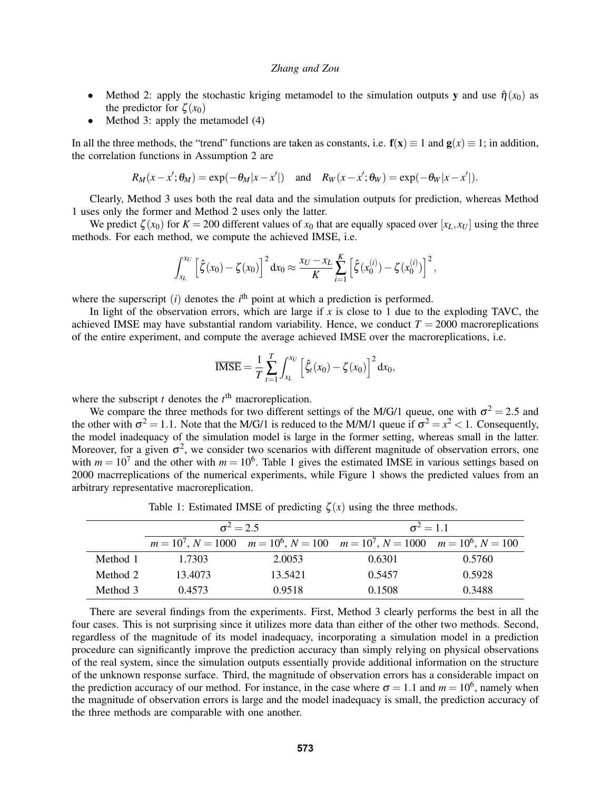- Method 2: apply the stochastic kriging metamodel to the simulation outputs y and use  $\hat{\eta}(x_0)$  as the predictor for  $\zeta(x_0)$
- Method 3: apply the metamodel (4)

In all the three methods, the "trend" functions are taken as constants, i.e.  $f(x) \equiv 1$  and  $g(x) \equiv 1$ ; in addition, the correlation functions in Assumption 2 are

$$
R_M(x-x';\theta_M)=\exp(-\theta_M|x-x'|) \quad \text{and} \quad R_W(x-x';\theta_W)=\exp(-\theta_W|x-x'|).
$$

Clearly, Method 3 uses both the real data and the simulation outputs for prediction, whereas Method 1 uses only the former and Method 2 uses only the latter.

We predict  $\zeta(x_0)$  for  $K = 200$  different values of  $x_0$  that are equally spaced over  $[x_L, x_U]$  using the three methods. For each method, we compute the achieved IMSE, i.e.

$$
\int_{x_L}^{x_U} \left[ \hat{\zeta}(x_0) - \zeta(x_0) \right]^2 dx_0 \approx \frac{x_U - x_L}{K} \sum_{i=1}^{K} \left[ \hat{\zeta}(x_0^{(i)}) - \zeta(x_0^{(i)}) \right]^2,
$$

where the superscript  $(i)$  denotes the  $i<sup>th</sup>$  point at which a prediction is performed.

In light of the observation errors, which are large if  $\bar{x}$  is close to 1 due to the exploding TAVC, the achieved IMSE may have substantial random variability. Hence, we conduct  $T = 2000$  macroreplications of the entire experiment, and compute the average achieved IMSE over the macroreplications, i.e.

$$
\overline{\text{IMSE}} = \frac{1}{T} \sum_{t=1}^{T} \int_{x_L}^{x_U} \left[ \hat{\zeta}_t(x_0) - \zeta(x_0) \right]^2 dx_0,
$$

where the subscript  $t$  denotes the  $t<sup>th</sup>$  macroreplication.

We compare the three methods for two different settings of the M/G/1 queue, one with  $\sigma^2 = 2.5$  and the other with  $\sigma^2 = 1.1$ . Note that the M/G/1 is reduced to the M/M/1 queue if  $\sigma^2 = x^2 < 1$ . Consequently, the model inadequacy of the simulation model is large in the former setting, whereas small in the latter. Moreover, for a given  $\sigma^2$ , we consider two scenarios with different magnitude of observation errors, one with  $m = 10<sup>7</sup>$  and the other with  $m = 10<sup>6</sup>$ . Table 1 gives the estimated IMSE in various settings based on 2000 macrreplications of the numerical experiments, while Figure 1 shows the predicted values from an arbitrary representative macroreplication.

Table 1: Estimated IMSE of predicting  $\zeta(x)$  using the three methods.

|          | $\sigma^2 = 2.5$ |         | $\sigma^2 = 1.1$                                                                              |        |
|----------|------------------|---------|-----------------------------------------------------------------------------------------------|--------|
|          |                  |         | $m = 10^7$ , $N = 1000$ $m = 10^6$ , $N = 100$ $m = 10^7$ , $N = 1000$ $m = 10^6$ , $N = 100$ |        |
| Method 1 | 1.7303           | 2.0053  | 0.6301                                                                                        | 0.5760 |
| Method 2 | 13.4073          | 13.5421 | 0.5457                                                                                        | 0.5928 |
| Method 3 | 0.4573           | 0.9518  | 0.1508                                                                                        | 0.3488 |

There are several findings from the experiments. First, Method 3 clearly performs the best in all the four cases. This is not surprising since it utilizes more data than either of the other two methods. Second, regardless of the magnitude of its model inadequacy, incorporating a simulation model in a prediction procedure can significantly improve the prediction accuracy than simply relying on physical observations of the real system, since the simulation outputs essentially provide additional information on the structure of the unknown response surface. Third, the magnitude of observation errors has a considerable impact on the prediction accuracy of our method. For instance, in the case where  $\sigma = 1.1$  and  $m = 10^6$ , namely when the magnitude of observation errors is large and the model inadequacy is small, the prediction accuracy of the three methods are comparable with one another.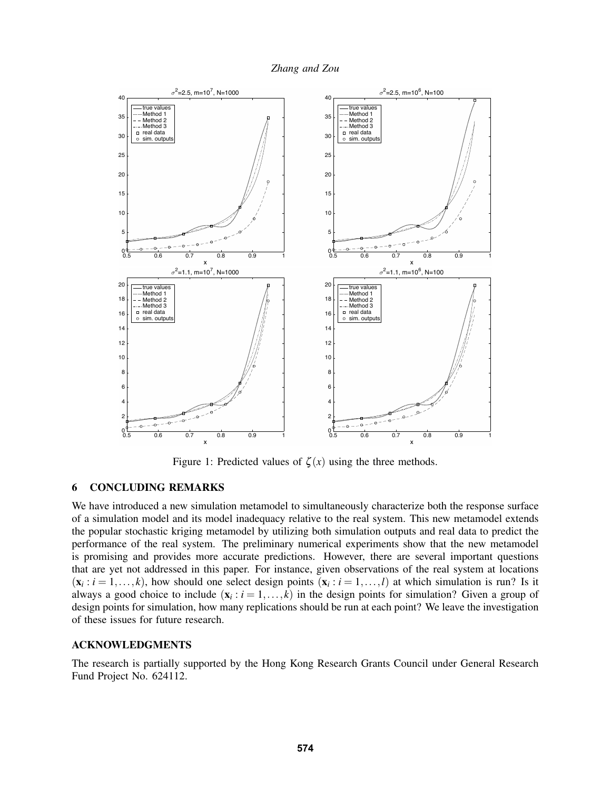



Figure 1: Predicted values of  $\zeta(x)$  using the three methods.

# 6 CONCLUDING REMARKS

We have introduced a new simulation metamodel to simultaneously characterize both the response surface of a simulation model and its model inadequacy relative to the real system. This new metamodel extends the popular stochastic kriging metamodel by utilizing both simulation outputs and real data to predict the performance of the real system. The preliminary numerical experiments show that the new metamodel is promising and provides more accurate predictions. However, there are several important questions that are yet not addressed in this paper. For instance, given observations of the real system at locations  $(\mathbf{x}_i : i = 1, \ldots, k)$ , how should one select design points  $(\mathbf{x}_i : i = 1, \ldots, l)$  at which simulation is run? Is it always a good choice to include  $(x_i : i = 1, ..., k)$  in the design points for simulation? Given a group of design points for simulation, how many replications should be run at each point? We leave the investigation of these issues for future research.

# ACKNOWLEDGMENTS

The research is partially supported by the Hong Kong Research Grants Council under General Research Fund Project No. 624112.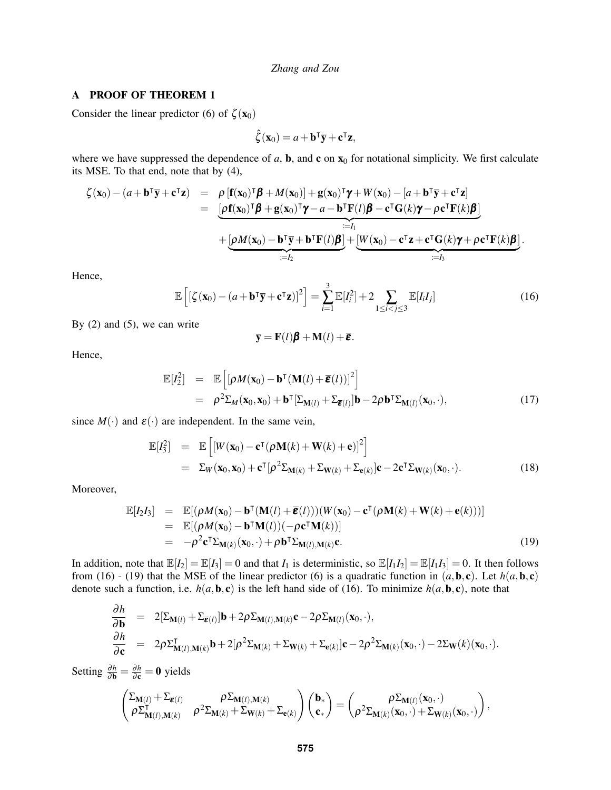#### A PROOF OF THEOREM 1

Consider the linear predictor (6) of  $\zeta(\mathbf{x}_0)$ 

$$
\hat{\zeta}(\mathbf{x}_0) = a + \mathbf{b}^\mathsf{T} \overline{\mathbf{y}} + \mathbf{c}^\mathsf{T} \mathbf{z},
$$

where we have suppressed the dependence of  $a$ ,  $b$ , and  $c$  on  $x_0$  for notational simplicity. We first calculate its MSE. To that end, note that by (4),

$$
\zeta(\mathbf{x}_0) - (a + \mathbf{b}^\mathsf{T}\overline{\mathbf{y}} + \mathbf{c}^\mathsf{T}\mathbf{z}) = \rho \left[ \mathbf{f}(\mathbf{x}_0)^\mathsf{T} \boldsymbol{\beta} + M(\mathbf{x}_0) \right] + \mathbf{g}(\mathbf{x}_0)^\mathsf{T} \boldsymbol{\gamma} + W(\mathbf{x}_0) - [a + \mathbf{b}^\mathsf{T}\overline{\mathbf{y}} + \mathbf{c}^\mathsf{T}\mathbf{z}] \n= \underbrace{[\rho \mathbf{f}(\mathbf{x}_0)^\mathsf{T} \boldsymbol{\beta} + \mathbf{g}(\mathbf{x}_0)^\mathsf{T} \boldsymbol{\gamma} - a - \mathbf{b}^\mathsf{T} \mathbf{F}(l) \boldsymbol{\beta} - \mathbf{c}^\mathsf{T} \mathbf{G}(k) \boldsymbol{\gamma} - \rho \mathbf{c}^\mathsf{T} \mathbf{F}(k) \boldsymbol{\beta}]}_{:=I_1} \n+ \underbrace{[\rho M(\mathbf{x}_0) - \mathbf{b}^\mathsf{T}\overline{\mathbf{y}} + \mathbf{b}^\mathsf{T} \mathbf{F}(l) \boldsymbol{\beta}] + [\underline{W}(\mathbf{x}_0) - \mathbf{c}^\mathsf{T}\mathbf{z} + \mathbf{c}^\mathsf{T} \mathbf{G}(k) \boldsymbol{\gamma} + \rho \mathbf{c}^\mathsf{T} \mathbf{F}(k) \boldsymbol{\beta}]}_{:=I_3}.
$$

Hence,

$$
\mathbb{E}\left[\left[\zeta(\mathbf{x}_0) - (a + \mathbf{b}^\mathsf{T}\overline{\mathbf{y}} + \mathbf{c}^\mathsf{T}\mathbf{z})\right]^2\right] = \sum_{i=1}^3 \mathbb{E}[I_i^2] + 2 \sum_{1 \le i < j \le 3} \mathbb{E}[I_i I_j] \tag{16}
$$

By  $(2)$  and  $(5)$ , we can write

$$
\overline{\mathbf{y}} = \mathbf{F}(l)\boldsymbol{\beta} + \mathbf{M}(l) + \overline{\boldsymbol{\epsilon}}.
$$

Hence,

$$
\mathbb{E}[I_2^2] = \mathbb{E}\left[ [\rho M(\mathbf{x}_0) - \mathbf{b}^\mathsf{T} (\mathbf{M}(l) + \overline{\boldsymbol{\varepsilon}}(l))]^2 \right]
$$
  
\n
$$
= \rho^2 \Sigma_M(\mathbf{x}_0, \mathbf{x}_0) + \mathbf{b}^\mathsf{T} [\Sigma_{\mathbf{M}(l)} + \Sigma_{\overline{\boldsymbol{\varepsilon}}(l)}] \mathbf{b} - 2\rho \mathbf{b}^\mathsf{T} \Sigma_{\mathbf{M}(l)}(\mathbf{x}_0, \cdot),
$$
\n(17)

since  $M(\cdot)$  and  $\varepsilon(\cdot)$  are independent. In the same vein,

$$
\mathbb{E}[I_3^2] = \mathbb{E}\left[ [W(\mathbf{x}_0) - \mathbf{c}^\mathsf{T}(\rho \mathbf{M}(k) + \mathbf{W}(k) + \mathbf{e})]^2 \right]
$$
  
\n
$$
= \Sigma_W(\mathbf{x}_0, \mathbf{x}_0) + \mathbf{c}^\mathsf{T}[\rho^2 \Sigma_{\mathbf{M}(k)} + \Sigma_{\mathbf{W}(k)} + \Sigma_{\mathbf{e}(k)}] \mathbf{c} - 2\mathbf{c}^\mathsf{T} \Sigma_{\mathbf{W}(k)}(\mathbf{x}_0, \cdot). \tag{18}
$$

Moreover,

$$
\mathbb{E}[I_2I_3] = \mathbb{E}[(\rho M(\mathbf{x}_0) - \mathbf{b}^\mathsf{T}(\mathbf{M}(l) + \overline{\boldsymbol{\varepsilon}}(l)))(W(\mathbf{x}_0) - \mathbf{c}^\mathsf{T}(\rho \mathbf{M}(k) + \mathbf{W}(k) + \mathbf{e}(k)))] \n= \mathbb{E}[(\rho M(\mathbf{x}_0) - \mathbf{b}^\mathsf{T}\mathbf{M}(l))(-\rho \mathbf{c}^\mathsf{T}\mathbf{M}(k))] \n= -\rho^2 \mathbf{c}^\mathsf{T} \Sigma_{\mathbf{M}(k)}(\mathbf{x}_0, \cdot) + \rho \mathbf{b}^\mathsf{T} \Sigma_{\mathbf{M}(l), \mathbf{M}(k)} \mathbf{c}.
$$
\n(19)

In addition, note that  $\mathbb{E}[I_2] = \mathbb{E}[I_3] = 0$  and that  $I_1$  is deterministic, so  $\mathbb{E}[I_1I_2] = \mathbb{E}[I_1I_3] = 0$ . It then follows from (16) - (19) that the MSE of the linear predictor (6) is a quadratic function in  $(a, \mathbf{b}, \mathbf{c})$ . Let  $h(a, \mathbf{b}, \mathbf{c})$ denote such a function, i.e.  $h(a, b, c)$  is the left hand side of (16). To minimize  $h(a, b, c)$ , note that

$$
\frac{\partial h}{\partial \mathbf{b}} = 2[\Sigma_{\mathbf{M}(l)} + \Sigma_{\overline{\boldsymbol{\varepsilon}}(l)}] \mathbf{b} + 2\rho \Sigma_{\mathbf{M}(l),\mathbf{M}(k)} \mathbf{c} - 2\rho \Sigma_{\mathbf{M}(l)}(\mathbf{x}_0, \cdot), \n\frac{\partial h}{\partial \mathbf{c}} = 2\rho \Sigma_{\mathbf{M}(l),\mathbf{M}(k)}^{\mathsf{T}} \mathbf{b} + 2[\rho^2 \Sigma_{\mathbf{M}(k)} + \Sigma_{\mathbf{W}(k)} + \Sigma_{\mathbf{c}(k)}] \mathbf{c} - 2\rho^2 \Sigma_{\mathbf{M}(k)}(\mathbf{x}_0, \cdot) - 2\Sigma_{\mathbf{W}}(k)(\mathbf{x}_0, \cdot).
$$

Setting  $\frac{\partial h}{\partial \mathbf{b}} = \frac{\partial h}{\partial \mathbf{c}} = \mathbf{0}$  yields

$$
\begin{pmatrix} \Sigma_{\mathbf{M}(l)} + \Sigma_{\overline{\boldsymbol{\epsilon}}(l)} & \rho \Sigma_{\mathbf{M}(l),\mathbf{M}(k)} & \\ \rho \Sigma_{\mathbf{M}(l),\mathbf{M}(k)}^{\mathsf{T}} & \rho^2 \Sigma_{\mathbf{M}(k)} + \Sigma_{\mathbf{W}(k)} + \Sigma_{\mathbf{e}(k)} \end{pmatrix} \begin{pmatrix} \mathbf{b}_* \\ \mathbf{c}_* \end{pmatrix} = \begin{pmatrix} \rho \Sigma_{\mathbf{M}(l)}(\mathbf{x}_0,\cdot) \\ \rho^2 \Sigma_{\mathbf{M}(k)}(\mathbf{x}_0,\cdot) + \Sigma_{\mathbf{W}(k)}(\mathbf{x}_0,\cdot) \end{pmatrix},
$$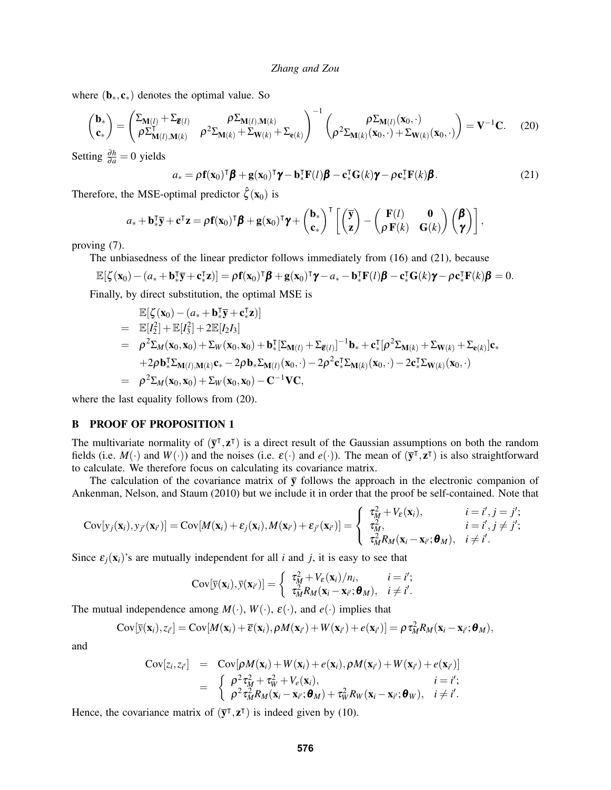where  $(\mathbf{b}_*, \mathbf{c}_*)$  denotes the optimal value. So

$$
\begin{pmatrix} \mathbf{b}_{*} \\ \mathbf{c}_{*} \end{pmatrix} = \begin{pmatrix} \Sigma_{\mathbf{M}(l)} + \Sigma_{\overline{\mathbf{\varepsilon}}(l)} & \rho \Sigma_{\mathbf{M}(l), \mathbf{M}(k)} \\ \rho \Sigma_{\mathbf{M}(l), \mathbf{M}(k)}^{\mathsf{T}} & \rho^{2} \Sigma_{\mathbf{M}(k)} + \Sigma_{\mathbf{W}(k)} + \Sigma_{\mathbf{e}(k)} \end{pmatrix}^{-1} \begin{pmatrix} \rho \Sigma_{\mathbf{M}(l)}(\mathbf{x}_{0}, \cdot) \\ \rho^{2} \Sigma_{\mathbf{M}(k)}(\mathbf{x}_{0}, \cdot) + \Sigma_{\mathbf{W}(k)}(\mathbf{x}_{0}, \cdot) \end{pmatrix} = \mathbf{V}^{-1} \mathbf{C}.
$$
 (20)

Setting  $\frac{\partial h}{\partial a} = 0$  yields

$$
a_* = \rho \mathbf{f}(\mathbf{x}_0)^\mathsf{T} \boldsymbol{\beta} + \mathbf{g}(\mathbf{x}_0)^\mathsf{T} \boldsymbol{\gamma} - \mathbf{b}_*^\mathsf{T} \mathbf{F}(l) \boldsymbol{\beta} - \mathbf{c}_*^\mathsf{T} \mathbf{G}(k) \boldsymbol{\gamma} - \rho \mathbf{c}_*^\mathsf{T} \mathbf{F}(k) \boldsymbol{\beta}.
$$
 (21)

Therefore, the MSE-optimal predictor  $\hat{\zeta}(\mathbf{x}_0)$  is

$$
a_* + \mathbf{b}_*^{\mathsf{T}} \overline{\mathbf{y}} + \mathbf{c}^{\mathsf{T}} \mathbf{z} = \rho \mathbf{f}(\mathbf{x}_0)^{\mathsf{T}} \boldsymbol{\beta} + \mathbf{g}(\mathbf{x}_0)^{\mathsf{T}} \boldsymbol{\gamma} + \begin{pmatrix} \mathbf{b}_* \\ \mathbf{c}_* \end{pmatrix}^{\mathsf{T}} \left[ \begin{pmatrix} \overline{\mathbf{y}} \\ \mathbf{z} \end{pmatrix} - \begin{pmatrix} \mathbf{F}(l) & \mathbf{0} \\ \rho \mathbf{F}(k) & \mathbf{G}(k) \end{pmatrix} \begin{pmatrix} \boldsymbol{\beta} \\ \boldsymbol{\gamma} \end{pmatrix} \right],
$$

proving (7).

The unbiasedness of the linear predictor follows immediately from (16) and (21), because

$$
\mathbb{E}[\zeta(\mathbf{x}_0) - (a_* + \mathbf{b}_*^T \overline{\mathbf{y}} + \mathbf{c}_*^T \mathbf{z})] = \rho \mathbf{f}(\mathbf{x}_0)^T \boldsymbol{\beta} + \mathbf{g}(\mathbf{x}_0)^T \boldsymbol{\gamma} - a_* - \mathbf{b}_*^T \mathbf{F}(l) \boldsymbol{\beta} - \mathbf{c}_*^T \mathbf{G}(k) \boldsymbol{\gamma} - \rho \mathbf{c}_*^T \mathbf{F}(k) \boldsymbol{\beta} = 0.
$$
  
Finally, by direct substitution, the optimal MSE is

Finally, by direct substitution, the optimal MSE is

$$
\mathbb{E}[\zeta(\mathbf{x}_0) - (a_* + \mathbf{b}_*^{\mathsf{T}} \overline{\mathbf{y}} + \mathbf{c}_*^{\mathsf{T}} \mathbf{z})] \n= \mathbb{E}[I_2^2] + \mathbb{E}[I_3^2] + 2\mathbb{E}[I_2 I_3] \n= \rho^2 \Sigma_M(\mathbf{x}_0, \mathbf{x}_0) + \Sigma_W(\mathbf{x}_0, \mathbf{x}_0) + \mathbf{b}_*^{\mathsf{T}}[\Sigma_{\mathbf{M}(l)} + \Sigma_{\overline{\epsilon}(l)}]^{-1} \mathbf{b}_* + \mathbf{c}_*^{\mathsf{T}}[\rho^2 \Sigma_{\mathbf{M}(k)} + \Sigma_{\mathbf{W}(k)} + \Sigma_{\mathbf{e}(k)}] \mathbf{c}_* \n+ 2\rho \mathbf{b}_*^{\mathsf{T}} \Sigma_{\mathbf{M}(l), \mathbf{M}(k)} \mathbf{c}_* - 2\rho \mathbf{b}_* \Sigma_{\mathbf{M}(l)}(\mathbf{x}_0, \cdot) - 2\rho^2 \mathbf{c}_*^{\mathsf{T}} \Sigma_{\mathbf{M}(k)}(\mathbf{x}_0, \cdot) - 2\mathbf{c}_*^{\mathsf{T}} \Sigma_{\mathbf{W}(k)}(\mathbf{x}_0, \cdot) \n= \rho^2 \Sigma_M(\mathbf{x}_0, \mathbf{x}_0) + \Sigma_W(\mathbf{x}_0, \mathbf{x}_0) - \mathbf{C}^{-1} \mathbf{V} \mathbf{C},
$$

where the last equality follows from  $(20)$ .

#### B PROOF OF PROPOSITION 1

The multivariate normality of  $(\bar{y}^{\dagger}, z^{\dagger})$  is a direct result of the Gaussian assumptions on both the random fields (i.e.  $M(\cdot)$  and  $W(\cdot)$ ) and the noises (i.e.  $\varepsilon(\cdot)$  and  $e(\cdot)$ ). The mean of  $(\overline{\mathbf{y}}^{\intercal}, \mathbf{z}^{\intercal})$  is also straightforward to calculate. We therefore focus on calculating its covariance matrix.

The calculation of the covariance matrix of  $\bar{y}$  follows the approach in the electronic companion of Ankenman, Nelson, and Staum (2010) but we include it in order that the proof be self-contained. Note that

$$
Cov[y_j(\mathbf{x}_i), y_{j'}(\mathbf{x}_{i'})] = Cov[M(\mathbf{x}_i) + \varepsilon_j(\mathbf{x}_i), M(\mathbf{x}_{i'}) + \varepsilon_{j'}(\mathbf{x}_{i'})] = \begin{cases} \tau_M^2 + V_{\varepsilon}(\mathbf{x}_i), & i = i', j = j'; \\ \tau_M^2, & i = i', j \neq j'; \\ \tau_M^2 R_M(\mathbf{x}_i - \mathbf{x}_{i'}; \boldsymbol{\theta}_M), & i \neq i'. \end{cases}
$$

Since  $\varepsilon_j(\mathbf{x}_i)$ 's are mutually independent for all *i* and *j*, it is easy to see that

$$
Cov[\bar{y}(\mathbf{x}_i), \bar{y}(\mathbf{x}_{i'})] = \begin{cases} \tau_M^2 + V_{\varepsilon}(\mathbf{x}_i)/n_i, & i = i';\\ \tau_M^2 R_M(\mathbf{x}_i - \mathbf{x}_{i'}; \boldsymbol{\theta}_M), & i \neq i'. \end{cases}
$$

The mutual independence among  $M(\cdot)$ ,  $W(\cdot)$ ,  $\varepsilon(\cdot)$ , and  $e(\cdot)$  implies that

$$
Cov[\bar{y}(\mathbf{x}_i),z_{i'}] = Cov[M(\mathbf{x}_i) + \bar{\epsilon}(\mathbf{x}_i),\rho M(\mathbf{x}_{i'}) + W(\mathbf{x}_{i'}) + e(\mathbf{x}_{i'})] = \rho \tau_M^2 R_M(\mathbf{x}_i - \mathbf{x}_{i'};\boldsymbol{\theta}_M),
$$

and

$$
Cov[z_i, z_{i'}] = Cov[\rho M(\mathbf{x}_i) + W(\mathbf{x}_i) + e(\mathbf{x}_i), \rho M(\mathbf{x}_{i'}) + W(\mathbf{x}_{i'}) + e(\mathbf{x}_{i'})]
$$
  
= 
$$
\begin{cases} \rho^2 \tau_M^2 + \tau_W^2 + V_e(\mathbf{x}_i), & i = i'; \\ \rho^2 \tau_M^2 R_M(\mathbf{x}_i - \mathbf{x}_{i'}; \boldsymbol{\theta}_M) + \tau_W^2 R_W(\mathbf{x}_i - \mathbf{x}_{i'}; \boldsymbol{\theta}_W), & i \neq i'. \end{cases}
$$

Hence, the covariance matrix of  $(\bar{y}^{\dagger}, z^{\dagger})$  is indeed given by (10).